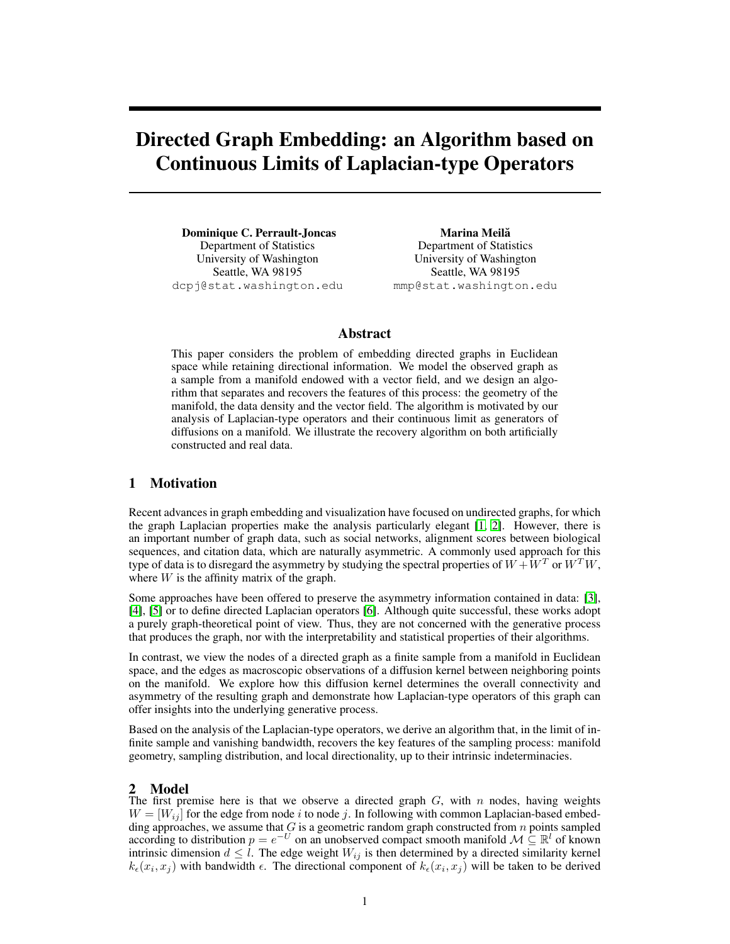# Directed Graph Embedding: an Algorithm based on Continuous Limits of Laplacian-type Operators

Dominique C. Perrault-Joncas Department of Statistics University of Washington Seattle, WA 98195 dcpj@stat.washington.edu

Marina Meilă Department of Statistics University of Washington Seattle, WA 98195 mmp@stat.washington.edu

# Abstract

This paper considers the problem of embedding directed graphs in Euclidean space while retaining directional information. We model the observed graph as a sample from a manifold endowed with a vector field, and we design an algorithm that separates and recovers the features of this process: the geometry of the manifold, the data density and the vector field. The algorithm is motivated by our analysis of Laplacian-type operators and their continuous limit as generators of diffusions on a manifold. We illustrate the recovery algorithm on both artificially constructed and real data.

# 1 Motivation

Recent advances in graph embedding and visualization have focused on undirected graphs, for which the graph Laplacian properties make the analysis particularly elegant [\[1,](#page-8-0) [2\]](#page-8-1). However, there is an important number of graph data, such as social networks, alignment scores between biological sequences, and citation data, which are naturally asymmetric. A commonly used approach for this type of data is to disregard the asymmetry by studying the spectral properties of  $W + W^T$  or  $W^T W$ , where  $W$  is the affinity matrix of the graph.

Some approaches have been offered to preserve the asymmetry information contained in data: [\[3\]](#page-8-2), [\[4\]](#page-8-3), [\[5\]](#page-8-4) or to define directed Laplacian operators [\[6\]](#page-8-5). Although quite successful, these works adopt a purely graph-theoretical point of view. Thus, they are not concerned with the generative process that produces the graph, nor with the interpretability and statistical properties of their algorithms.

In contrast, we view the nodes of a directed graph as a finite sample from a manifold in Euclidean space, and the edges as macroscopic observations of a diffusion kernel between neighboring points on the manifold. We explore how this diffusion kernel determines the overall connectivity and asymmetry of the resulting graph and demonstrate how Laplacian-type operators of this graph can offer insights into the underlying generative process.

Based on the analysis of the Laplacian-type operators, we derive an algorithm that, in the limit of infinite sample and vanishing bandwidth, recovers the key features of the sampling process: manifold geometry, sampling distribution, and local directionality, up to their intrinsic indeterminacies.

## 2 Model

The first premise here is that we observe a directed graph  $G$ , with  $n$  nodes, having weights  $W = [W_{ij}]$  for the edge from node i to node j. In following with common Laplacian-based embedding approaches, we assume that  $G$  is a geometric random graph constructed from  $n$  points sampled according to distribution  $p = e^{-U}$  on an unobserved compact smooth manifold  $\mathcal{M} \subseteq \mathbb{R}^l$  of known intrinsic dimension  $d \leq l$ . The edge weight  $W_{ij}$  is then determined by a directed similarity kernel  $k_{\epsilon}(x_i, x_j)$  with bandwidth  $\epsilon$ . The directional component of  $k_{\epsilon}(x_i, x_j)$  will be taken to be derived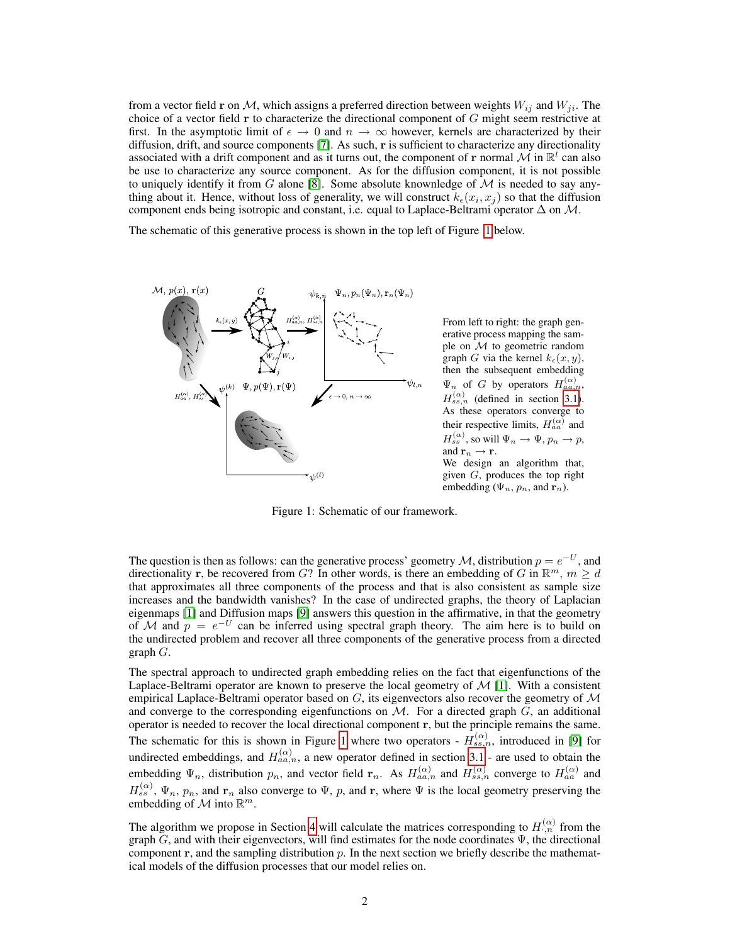from a vector field r on M, which assigns a preferred direction between weights  $W_{ij}$  and  $W_{ji}$ . The choice of a vector field  $\bf{r}$  to characterize the directional component of  $G$  might seem restrictive at first. In the asymptotic limit of  $\epsilon \to 0$  and  $n \to \infty$  however, kernels are characterized by their diffusion, drift, and source components [\[7\]](#page-8-6). As such, r is sufficient to characterize any directionality associated with a drift component and as it turns out, the component of r normal  $\mathcal{M}$  in  $\mathbb{R}^l$  can also be use to characterize any source component. As for the diffusion component, it is not possible to uniquely identify it from G alone [\[8\]](#page-8-7). Some absolute knownledge of  $\mathcal M$  is needed to say anything about it. Hence, without loss of generality, we will construct  $k_{\epsilon}(x_i, x_j)$  so that the diffusion component ends being isotropic and constant, i.e. equal to Laplace-Beltrami operator  $\Delta$  on M.

The schematic of this generative process is shown in the top left of Figure [1](#page-1-0) below.



From left to right: the graph generative process mapping the sample on  $\mathcal M$  to geometric random graph G via the kernel  $k_{\epsilon}(x, y)$ , then the subsequent embedding  $\Psi_n$  of G by operators  $H_{aa,n}^{(\alpha)}$ ,  $H_{ss,n}^{(\alpha)}$  (defined in section [3.1\)](#page-3-0). As these operators converge to their respective limits,  $H_{aa}^{(\alpha)}$  and  $H_{ss}^{(\alpha)}$ , so will  $\Psi_n \to \Psi$ ,  $p_n \to p$ , and  $\mathbf{r}_n \rightarrow \mathbf{r}$ . We design an algorithm that, given  $G$ , produces the top right embedding ( $\Psi_n$ ,  $p_n$ , and  $\mathbf{r}_n$ ).

<span id="page-1-0"></span>Figure 1: Schematic of our framework.

The question is then as follows: can the generative process' geometry M, distribution  $p = e^{-U}$ , and directionality r, be recovered from G? In other words, is there an embedding of G in  $\mathbb{R}^m$ ,  $m \geq d$ that approximates all three components of the process and that is also consistent as sample size increases and the bandwidth vanishes? In the case of undirected graphs, the theory of Laplacian eigenmaps [\[1\]](#page-8-0) and Diffusion maps [\[9\]](#page-8-8) answers this question in the affirmative, in that the geometry of M and  $p = e^{-U}$  can be inferred using spectral graph theory. The aim here is to build on the undirected problem and recover all three components of the generative process from a directed graph  $G$ .

The spectral approach to undirected graph embedding relies on the fact that eigenfunctions of the Laplace-Beltrami operator are known to preserve the local geometry of  $M$  [\[1\]](#page-8-0). With a consistent empirical Laplace-Beltrami operator based on  $G$ , its eigenvectors also recover the geometry of  $\mathcal M$ and converge to the corresponding eigenfunctions on  $M$ . For a directed graph  $G$ , an additional operator is needed to recover the local directional component r, but the principle remains the same. The schematic for this is shown in Figure [1](#page-1-0) where two operators -  $H_{ss,n}^{(\alpha)}$ , introduced in [\[9\]](#page-8-8) for undirected embeddings, and  $H_{aa,n}^{(\alpha)}$ , a new operator defined in section [3.1](#page-3-0) - are used to obtain the embedding  $\Psi_n$ , distribution  $p_n$ , and vector field  $\mathbf{r}_n$ . As  $H_{aa,n}^{(\alpha)}$  and  $H_{ss,n}^{(\alpha)}$  converge to  $H_{aa}^{(\alpha)}$  and  $H_{ss}^{(\alpha)}$ ,  $\Psi_n$ ,  $p_n$ , and  $\mathbf{r}_n$  also converge to  $\Psi$ ,  $p$ , and  $\mathbf{r}$ , where  $\Psi$  is the local geometry preserving the embedding of  $M$  into  $\mathbb{R}^m$ .

The algorithm we propose in Section [4](#page-4-0) will calculate the matrices corresponding to  $H_{\cdot,n}^{(\alpha)}$  from the graph  $\tilde{G}$ , and with their eigenvectors, will find estimates for the node coordinates  $\Psi$ , the directional component  $r$ , and the sampling distribution  $p$ . In the next section we briefly describe the mathematical models of the diffusion processes that our model relies on.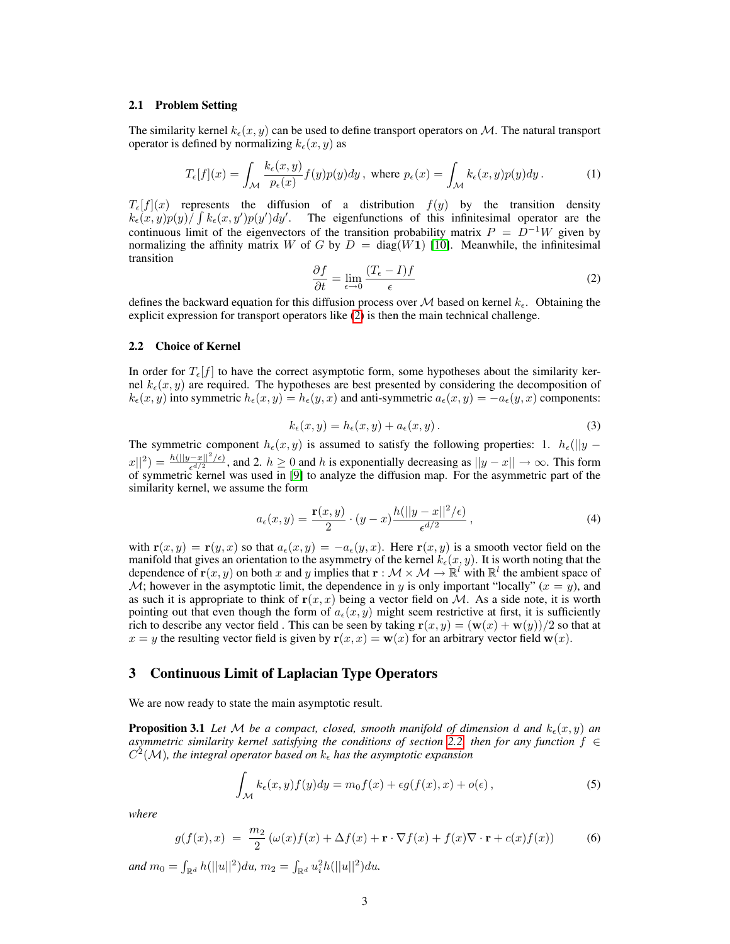## 2.1 Problem Setting

The similarity kernel  $k_{\epsilon}(x, y)$  can be used to define transport operators on M. The natural transport operator is defined by normalizing  $k_{\epsilon}(x, y)$  as

$$
T_{\epsilon}[f](x) = \int_{\mathcal{M}} \frac{k_{\epsilon}(x, y)}{p_{\epsilon}(x)} f(y) p(y) dy, \text{ where } p_{\epsilon}(x) = \int_{\mathcal{M}} k_{\epsilon}(x, y) p(y) dy.
$$
 (1)

 $T_{\epsilon}[f](x)$  represents the diffusion of a distribution  $f(y)$  by the transition density  $k_{\epsilon}(x,y)p(y) \int \int k_{\epsilon}(x,y')p(y')dy'$ . The eigenfunctions of this infinitesimal operator are the continuous limit of the eigenvectors of the transition probability matrix  $P = D^{-1}W$  given by normalizing the affinity matrix W of G by  $D = diag(W1)$  [\[10\]](#page-8-9). Meanwhile, the infinitesimal transition

$$
\frac{\partial f}{\partial t} = \lim_{\epsilon \to 0} \frac{(T_{\epsilon} - I)f}{\epsilon} \tag{2}
$$

<span id="page-2-0"></span>defines the backward equation for this diffusion process over M based on kernel  $k_{\epsilon}$ . Obtaining the explicit expression for transport operators like [\(2\)](#page-2-0) is then the main technical challenge.

## <span id="page-2-1"></span>2.2 Choice of Kernel

In order for  $T_{\epsilon}[f]$  to have the correct asymptotic form, some hypotheses about the similarity kernel  $k_{\epsilon}(x, y)$  are required. The hypotheses are best presented by considering the decomposition of  $k_{\epsilon}(x, y)$  into symmetric  $h_{\epsilon}(x, y) = h_{\epsilon}(y, x)$  and anti-symmetric  $a_{\epsilon}(x, y) = -a_{\epsilon}(y, x)$  components:

$$
k_{\epsilon}(x, y) = h_{\epsilon}(x, y) + a_{\epsilon}(x, y). \tag{3}
$$

The symmetric component  $h_{\epsilon}(x, y)$  is assumed to satisfy the following properties: 1.  $h_{\epsilon}(\|y |x||^2 = \frac{h(||y-x||^2/\epsilon)}{\epsilon^{d/2}}$ , and 2.  $h \ge 0$  and h is exponentially decreasing as  $||y-x|| \to \infty$ . This form of symmetric kernel was used in [\[9\]](#page-8-8) to analyze the diffusion map. For the asymmetric part of the similarity kernel, we assume the form

<span id="page-2-4"></span>
$$
a_{\epsilon}(x,y) = \frac{\mathbf{r}(x,y)}{2} \cdot (y-x) \frac{h(||y-x||^2/\epsilon)}{\epsilon^{d/2}},
$$
\n(4)

with  $\mathbf{r}(x, y) = \mathbf{r}(y, x)$  so that  $a_{\epsilon}(x, y) = -a_{\epsilon}(y, x)$ . Here  $\mathbf{r}(x, y)$  is a smooth vector field on the manifold that gives an orientation to the asymmetry of the kernel  $k_{\epsilon}(x, y)$ . It is worth noting that the dependence of  $\mathbf{r}(x, y)$  on both x and y implies that  $\mathbf{r} : \mathcal{M} \times \mathcal{M} \to \mathbb{R}^l$  with  $\mathbb{R}^l$  the ambient space of  $\mathcal{M}$ ; however in the asymptotic limit, the dependence in y is only important "locally" ( $x = y$ ), and as such it is appropriate to think of  $r(x, x)$  being a vector field on M. As a side note, it is worth pointing out that even though the form of  $a_{\epsilon}(x, y)$  might seem restrictive at first, it is sufficiently rich to describe any vector field. This can be seen by taking  $\mathbf{r}(x, y) = (\mathbf{w}(x) + \mathbf{w}(y))/2$  so that at  $x = y$  the resulting vector field is given by  $\mathbf{r}(x, x) = \mathbf{w}(x)$  for an arbitrary vector field  $\mathbf{w}(x)$ .

## 3 Continuous Limit of Laplacian Type Operators

We are now ready to state the main asymptotic result.

**Proposition 3.1** Let M be a compact, closed, smooth manifold of dimension d and  $k_{\epsilon}(x, y)$  an *asymmetric similarity kernel satisfying the conditions of section* [2.2,](#page-2-1) *then for any function*  $f \in$  $C^2(\mathcal{M})$ , the integral operator based on  $k_{\epsilon}$  has the asymptotic expansion

<span id="page-2-3"></span>
$$
\int_{\mathcal{M}} k_{\epsilon}(x, y) f(y) dy = m_0 f(x) + \epsilon g(f(x), x) + o(\epsilon), \tag{5}
$$

*where*

<span id="page-2-2"></span>
$$
g(f(x),x) = \frac{m_2}{2} \left( \omega(x)f(x) + \Delta f(x) + \mathbf{r} \cdot \nabla f(x) + f(x) \nabla \cdot \mathbf{r} + c(x)f(x) \right) \tag{6}
$$

and  $m_0 = \int_{\mathbb{R}^d} h(||u||^2) du$ ,  $m_2 = \int_{\mathbb{R}^d} u_i^2 h(||u||^2) du$ .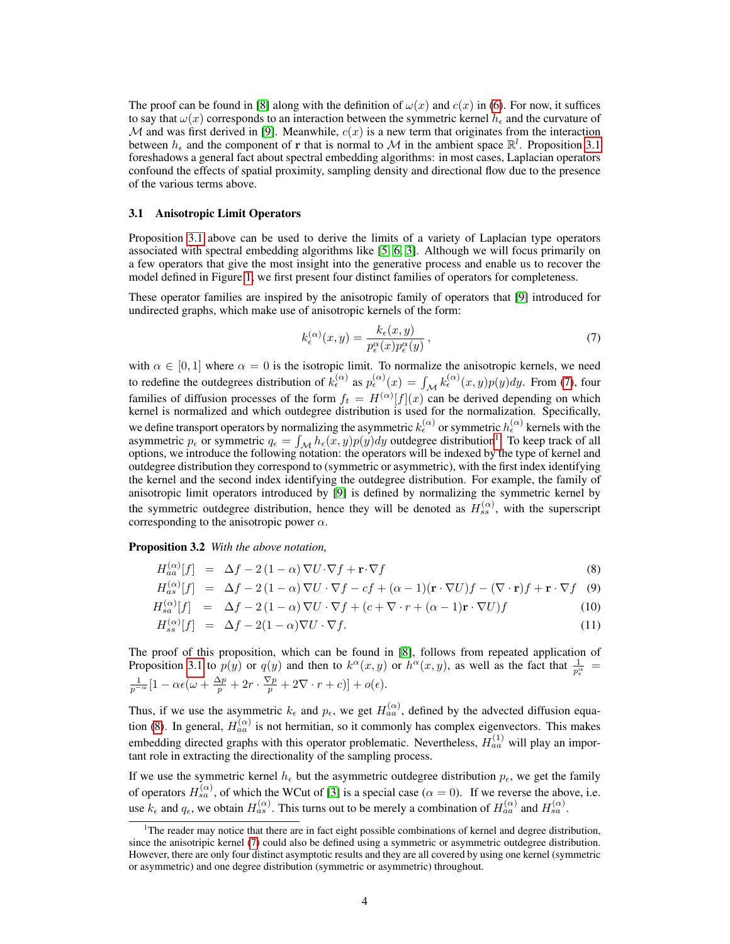The proof can be found in [\[8\]](#page-8-7) along with the definition of  $\omega(x)$  and  $c(x)$  in [\(6\)](#page-2-2). For now, it suffices to say that  $\omega(x)$  corresponds to an interaction between the symmetric kernel  $h_{\epsilon}$  and the curvature of M and was first derived in [\[9\]](#page-8-8). Meanwhile,  $c(x)$  is a new term that originates from the interaction between  $h_{\epsilon}$  and the component of r that is normal to M in the ambient space  $\mathbb{R}^{l}$ . Proposition [3.1](#page-2-3) foreshadows a general fact about spectral embedding algorithms: in most cases, Laplacian operators confound the effects of spatial proximity, sampling density and directional flow due to the presence of the various terms above.

#### <span id="page-3-0"></span>3.1 Anisotropic Limit Operators

Proposition [3.1](#page-2-3) above can be used to derive the limits of a variety of Laplacian type operators associated with spectral embedding algorithms like [\[5,](#page-8-4) [6,](#page-8-5) [3\]](#page-8-2). Although we will focus primarily on a few operators that give the most insight into the generative process and enable us to recover the model defined in Figure [1,](#page-1-0) we first present four distinct families of operators for completeness.

These operator families are inspired by the anisotropic family of operators that [\[9\]](#page-8-8) introduced for undirected graphs, which make use of anisotropic kernels of the form:

<span id="page-3-1"></span>
$$
k_{\epsilon}^{(\alpha)}(x,y) = \frac{k_{\epsilon}(x,y)}{p_{\epsilon}^{\alpha}(x)p_{\epsilon}^{\alpha}(y)},
$$
\n(7)

with  $\alpha \in [0, 1]$  where  $\alpha = 0$  is the isotropic limit. To normalize the anisotropic kernels, we need to redefine the outdegrees distribution of  $k_{\epsilon}^{(\alpha)}$  as  $p_{\epsilon}^{(\alpha)}(x) = \int_{\mathcal{M}} k_{\epsilon}^{(\alpha)}(x, y)p(y)dy$ . From [\(7\)](#page-3-1), four families of diffusion processes of the form  $f_t = H^{(\alpha)}[f](x)$  can be derived depending on which kernel is normalized and which outdegree distribution is used for the normalization. Specifically, we define transport operators by normalizing the asymmetric  $k_{\epsilon}^{(\alpha)}$  or symmetric  $h_{\epsilon}^{(\alpha)}$  kernels with the asymmetric  $p_{\epsilon}$  or symmetric  $q_{\epsilon} = \int_{\mathcal{M}} h_{\epsilon}(x, y)p(y)dy$  outdegree distribution<sup>[1](#page-3-2)</sup>. To keep track of all options, we introduce the following notation: the operators will be indexed by the type of kernel and outdegree distribution they correspond to (symmetric or asymmetric), with the first index identifying the kernel and the second index identifying the outdegree distribution. For example, the family of anisotropic limit operators introduced by [\[9\]](#page-8-8) is defined by normalizing the symmetric kernel by the symmetric outdegree distribution, hence they will be denoted as  $H_{ss}^{(\alpha)}$ , with the superscript corresponding to the anisotropic power  $\alpha$ .

Proposition 3.2 *With the above notation,*

$$
H_{aa}^{(\alpha)}[f] = \Delta f - 2(1-\alpha)\nabla U \cdot \nabla f + \mathbf{r} \cdot \nabla f \tag{8}
$$

<span id="page-3-3"></span>
$$
H_{as}^{(\alpha)}[f] = \Delta f - 2(1-\alpha)\nabla U \cdot \nabla f - cf + (\alpha - 1)(\mathbf{r} \cdot \nabla U)f - (\nabla \cdot \mathbf{r})f + \mathbf{r} \cdot \nabla f \quad (9)
$$

$$
H_{sa}^{(\alpha)}[f] = \Delta f - 2(1-\alpha)\nabla U \cdot \nabla f + (c + \nabla \cdot r + (\alpha - 1)\mathbf{r} \cdot \nabla U)f \tag{10}
$$

$$
H_{ss}^{(\alpha)}[f] = \Delta f - 2(1-\alpha)\nabla U \cdot \nabla f. \tag{11}
$$

The proof of this proposition, which can be found in [\[8\]](#page-8-7), follows from repeated application of Proposition [3.1](#page-2-3) to  $p(y)$  or  $q(y)$  and then to  $k^{\alpha}(x, y)$  or  $h^{\alpha}(x, y)$ , as well as the fact that  $\frac{1}{p_e^{\alpha}} =$  $\frac{1}{p^{-\alpha}}[1-\alpha\epsilon(\omega+\frac{\Delta p}{p}+2r\cdot\frac{\nabla p}{p}+2\nabla\cdot r+c)]+o(\epsilon).$ 

Thus, if we use the asymmetric  $k_{\epsilon}$  and  $p_{\epsilon}$ , we get  $H_{aa}^{(\alpha)}$ , defined by the advected diffusion equa-tion [\(8\)](#page-3-3). In general,  $H_{aa}^{(\alpha)}$  is not hermitian, so it commonly has complex eigenvectors. This makes embedding directed graphs with this operator problematic. Nevertheless,  $H_{aa}^{(1)}$  will play an important role in extracting the directionality of the sampling process.

If we use the symmetric kernel  $h_{\epsilon}$  but the asymmetric outdegree distribution  $p_{\epsilon}$ , we get the family of operators  $H_{sa}^{(\alpha)}$ , of which the WCut of [\[3\]](#page-8-2) is a special case ( $\alpha = 0$ ). If we reverse the above, i.e. use  $k_{\epsilon}$  and  $q_{\epsilon}$ , we obtain  $H_{as}^{(\alpha)}$ . This turns out to be merely a combination of  $H_{aa}^{(\alpha)}$  and  $H_{sa}^{(\alpha)}$ .

<span id="page-3-2"></span> $1$ The reader may notice that there are in fact eight possible combinations of kernel and degree distribution, since the anisotripic kernel [\(7\)](#page-3-1) could also be defined using a symmetric or asymmetric outdegree distribution. However, there are only four distinct asymptotic results and they are all covered by using one kernel (symmetric or asymmetric) and one degree distribution (symmetric or asymmetric) throughout.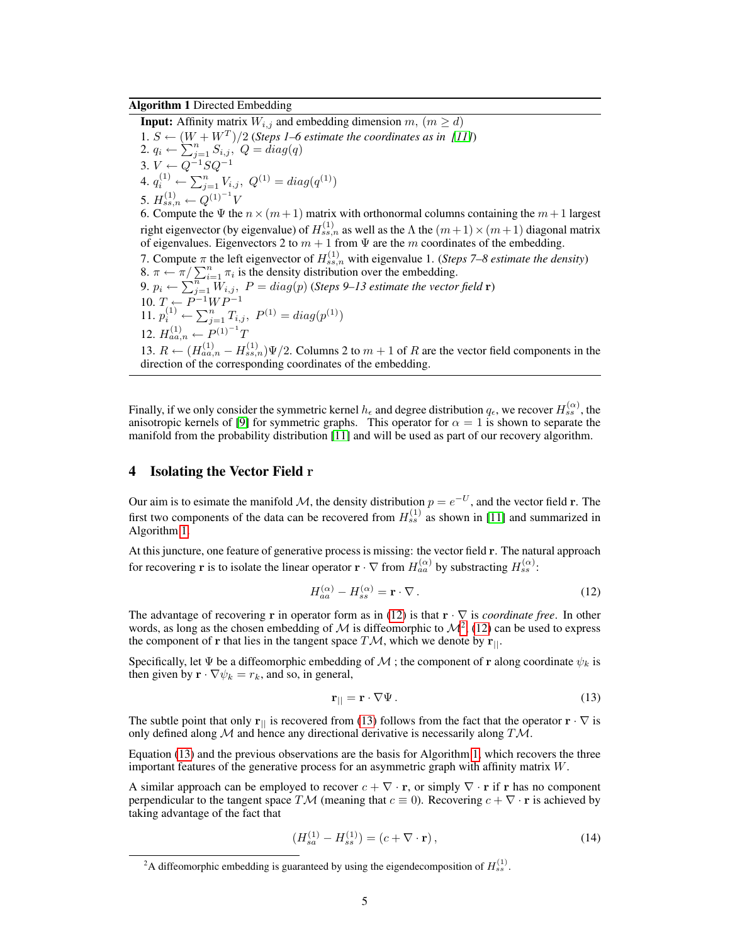## <span id="page-4-1"></span>Algorithm 1 Directed Embedding

**Input:** Affinity matrix  $W_{i,j}$  and embedding dimension  $m$ ,  $(m \ge d)$ 1.  $S \leftarrow (W + W^T)/2$  (Steps 1–6 estimate the coordinates as in [\[11\]](#page-8-10)) 2.  $q_i \leftarrow \sum_{j=1}^n S_{i,j}$ ,  $Q = diag(q)$ 3.  $V \leftarrow Q^{-1}SQ^{-1}$ 4.  $q_i^{(1)} \leftarrow \sum_{j=1}^n V_{i,j}, \ Q^{(1)} = diag(q^{(1)})$ 5.  $H_{ss,n}^{(1)} \leftarrow Q^{(1)^{-1}}V$ 6. Compute the  $\Psi$  the  $n \times (m+1)$  matrix with orthonormal columns containing the  $m+1$  largest right eigenvector (by eigenvalue) of  $H_{ss,n}^{(1)}$  as well as the  $\Lambda$  the  $(m+1)\times(m+1)$  diagonal matrix of eigenvalues. Eigenvectors 2 to  $m + 1$  from  $\Psi$  are the m coordinates of the embedding. 7. Compute  $\pi$  the left eigenvector of  $H_{ss,n}^{(1)}$  with eigenvalue 1. (*Steps 7–8 estimate the density*) 8.  $\pi \leftarrow \pi / \sum_{i=1}^{n} \pi_i$  is the density distribution over the embedding. 9.  $p_i \leftarrow \sum_{j=1}^{n} W_{i,j}$ ,  $P = diag(p)$  (*Steps 9–13 estimate the vector field* **r**) 10.  $T \leftarrow P^{-1}WP^{-1}$ 11.  $p_i^{(1)} \leftarrow \sum_{j=1}^n T_{i,j}, \ P^{(1)} = diag(p^{(1)})$ 12.  $H_{aa,n}^{(1)}$  ←  $P^{(1)^{-1}}$ *T* 13.  $R \leftarrow (H_{aa,n}^{(1)} - H_{ss,n}^{(1)}) \Psi/2$ . Columns 2 to  $m + 1$  of R are the vector field components in the direction of the corresponding coordinates of the embedding.

Finally, if we only consider the symmetric kernel  $h_\epsilon$  and degree distribution  $q_\epsilon$ , we recover  $H_{ss}^{(\alpha)}$ , the anisotropic kernels of [\[9\]](#page-8-8) for symmetric graphs. This operator for  $\alpha = 1$  is shown to separate the manifold from the probability distribution [\[11\]](#page-8-10) and will be used as part of our recovery algorithm.

## <span id="page-4-0"></span>4 Isolating the Vector Field r

Our aim is to esimate the manifold M, the density distribution  $p = e^{-U}$ , and the vector field r. The first two components of the data can be recovered from  $H_{ss}^{(1)}$  as shown in [\[11\]](#page-8-10) and summarized in Algorithm [1.](#page-4-1)

At this juncture, one feature of generative process is missing: the vector field r. The natural approach for recovering **r** is to isolate the linear operator **r**  $\cdot \nabla$  from  $H_{aa}^{(\alpha)}$  by substracting  $H_{ss}^{(\alpha)}$ :

<span id="page-4-2"></span>
$$
H_{aa}^{(\alpha)} - H_{ss}^{(\alpha)} = \mathbf{r} \cdot \nabla \,. \tag{12}
$$

The advantage of recovering r in operator form as in [\(12\)](#page-4-2) is that r · ∇ is *coordinate free*. In other words, as long as the chosen embedding of M is diffeomorphic to  $\mathcal{M}^2$  $\mathcal{M}^2$ , [\(12\)](#page-4-2) can be used to express the component of r that lies in the tangent space  $T\mathcal{M}$ , which we denote by  $\mathbf{r}_{||}$ .

Specifically, let  $\Psi$  be a diffeomorphic embedding of M ; the component of r along coordinate  $\psi_k$  is then given by  $\mathbf{r} \cdot \nabla \psi_k = r_k$ , and so, in general,

<span id="page-4-4"></span>
$$
\mathbf{r}_{\parallel} = \mathbf{r} \cdot \nabla \Psi. \tag{13}
$$

The subtle point that only r<sub>||</sub> is recovered from [\(13\)](#page-4-4) follows from the fact that the operator  $\mathbf{r} \cdot \nabla$  is only defined along  $M$  and hence any directional derivative is necessarily along  $T M$ .

Equation [\(13\)](#page-4-4) and the previous observations are the basis for Algorithm [1,](#page-4-1) which recovers the three important features of the generative process for an asymmetric graph with affinity matrix W.

A similar approach can be employed to recover  $c + \nabla \cdot \mathbf{r}$ , or simply  $\nabla \cdot \mathbf{r}$  if r has no component perpendicular to the tangent space TM (meaning that  $c \equiv 0$ ). Recovering  $c + \nabla \cdot \mathbf{r}$  is achieved by taking advantage of the fact that

$$
(H_{sa}^{(1)} - H_{ss}^{(1)}) = (c + \nabla \cdot \mathbf{r}), \qquad (14)
$$

<span id="page-4-3"></span><sup>&</sup>lt;sup>2</sup>A diffeomorphic embedding is guaranteed by using the eigendecomposition of  $H_{ss}^{(1)}$ .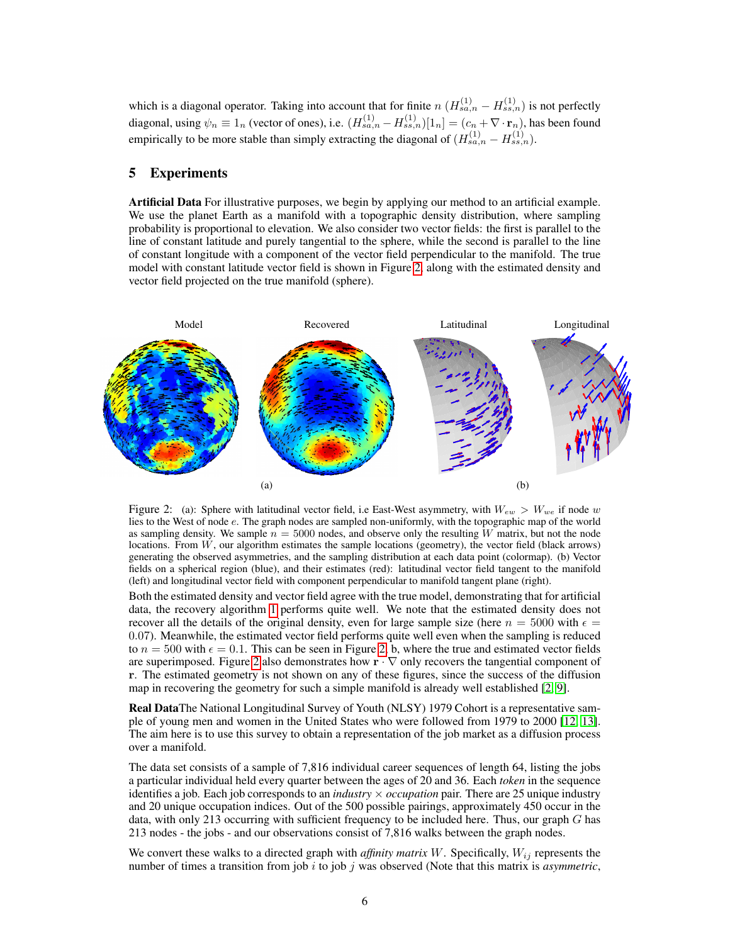which is a diagonal operator. Taking into account that for finite  $n (H_{sa,n}^{(1)} - H_{ss,n}^{(1)})$  is not perfectly diagonal, using  $\psi_n \equiv 1_n$  (vector of ones), i.e.  $(H_{sa,n}^{(1)} - H_{ss,n}^{(1)})[1_n] = (c_n + \nabla \cdot \mathbf{r}_n)$ , has been found empirically to be more stable than simply extracting the diagonal of  $(H_{sa,n}^{(1)} - H_{ss,n}^{(1)})$ .

# <span id="page-5-1"></span>5 Experiments

Artificial Data For illustrative purposes, we begin by applying our method to an artificial example. We use the planet Earth as a manifold with a topographic density distribution, where sampling probability is proportional to elevation. We also consider two vector fields: the first is parallel to the line of constant latitude and purely tangential to the sphere, while the second is parallel to the line of constant longitude with a component of the vector field perpendicular to the manifold. The true model with constant latitude vector field is shown in Figure [2,](#page-5-0) along with the estimated density and vector field projected on the true manifold (sphere).



<span id="page-5-0"></span>Figure 2: (a): Sphere with latitudinal vector field, i.e East-West asymmetry, with  $W_{ew} > W_{we}$  if node w lies to the West of node e. The graph nodes are sampled non-uniformly, with the topographic map of the world as sampling density. We sample  $n = 5000$  nodes, and observe only the resulting W matrix, but not the node locations. From  $W$ , our algorithm estimates the sample locations (geometry), the vector field (black arrows) generating the observed asymmetries, and the sampling distribution at each data point (colormap). (b) Vector fields on a spherical region (blue), and their estimates (red): latitudinal vector field tangent to the manifold (left) and longitudinal vector field with component perpendicular to manifold tangent plane (right).

Both the estimated density and vector field agree with the true model, demonstrating that for artificial data, the recovery algorithm [1](#page-4-1) performs quite well. We note that the estimated density does not recover all the details of the original density, even for large sample size (here  $n = 5000$  with  $\epsilon =$ 0.07). Meanwhile, the estimated vector field performs quite well even when the sampling is reduced to  $n = 500$  with  $\epsilon = 0.1$ . This can be seen in Figure [2,](#page-5-0) b, where the true and estimated vector fields are superimposed. Figure [2](#page-5-0) also demonstrates how  $\mathbf{r} \cdot \nabla$  only recovers the tangential component of r. The estimated geometry is not shown on any of these figures, since the success of the diffusion map in recovering the geometry for such a simple manifold is already well established [\[2,](#page-8-1) [9\]](#page-8-8).

Real DataThe National Longitudinal Survey of Youth (NLSY) 1979 Cohort is a representative sample of young men and women in the United States who were followed from 1979 to 2000 [\[12,](#page-8-11) [13\]](#page-8-12). The aim here is to use this survey to obtain a representation of the job market as a diffusion process over a manifold.

The data set consists of a sample of 7,816 individual career sequences of length 64, listing the jobs a particular individual held every quarter between the ages of 20 and 36. Each *token* in the sequence identifies a job. Each job corresponds to an *industry* × *occupation* pair. There are 25 unique industry and 20 unique occupation indices. Out of the 500 possible pairings, approximately 450 occur in the data, with only 213 occurring with sufficient frequency to be included here. Thus, our graph  $G$  has 213 nodes - the jobs - and our observations consist of 7,816 walks between the graph nodes.

We convert these walks to a directed graph with *affinity matrix*  $W$ . Specifically,  $W_{ij}$  represents the number of times a transition from job  $i$  to job  $j$  was observed (Note that this matrix is *asymmetric*,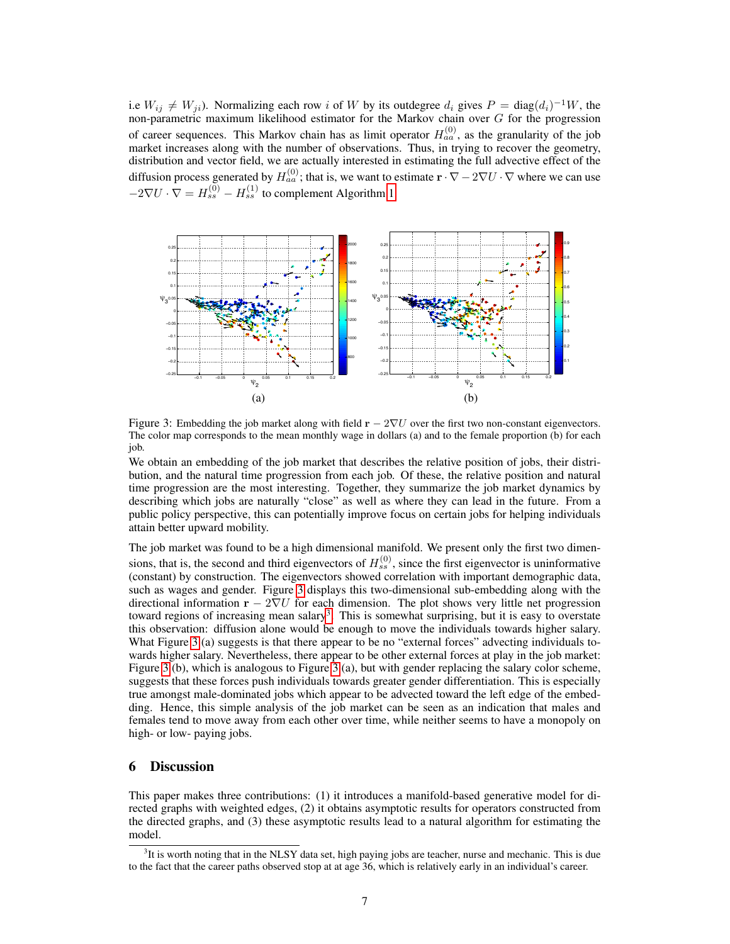i.e  $W_{ij} \neq W_{ji}$ ). Normalizing each row i of W by its outdegree  $d_i$  gives  $P = \text{diag}(d_i)^{-1}W$ , the non-parametric maximum likelihood estimator for the Markov chain over G for the progression of career sequences. This Markov chain has as limit operator  $H_{aa}^{(0)}$ , as the granularity of the job market increases along with the number of observations. Thus, in trying to recover the geometry, distribution and vector field, we are actually interested in estimating the full advective effect of the diffusion process generated by  $H_{aa}^{(0)}$ ; that is, we want to estimate  $\mathbf{r} \cdot \nabla - 2\nabla U \cdot \nabla$  where we can use  $-2\nabla U \cdot \nabla = H_{ss}^{(0)} - H_{ss}^{(1)}$  to complement Algorithm [1.](#page-4-1)



<span id="page-6-0"></span>Figure 3: Embedding the job market along with field  $\mathbf{r} - 2\nabla U$  over the first two non-constant eigenvectors. The color map corresponds to the mean monthly wage in dollars (a) and to the female proportion (b) for each job.

We obtain an embedding of the job market that describes the relative position of jobs, their distribution, and the natural time progression from each job. Of these, the relative position and natural time progression are the most interesting. Together, they summarize the job market dynamics by describing which jobs are naturally "close" as well as where they can lead in the future. From a public policy perspective, this can potentially improve focus on certain jobs for helping individuals attain better upward mobility.

The job market was found to be a high dimensional manifold. We present only the first two dimensions, that is, the second and third eigenvectors of  $H_{ss}^{(0)}$ , since the first eigenvector is uninformative (constant) by construction. The eigenvectors showed correlation with important demographic data, such as wages and gender. Figure [3](#page-6-0) displays this two-dimensional sub-embedding along with the directional information  $\mathbf{r} - 2\nabla U$  for each dimension. The plot shows very little net progression toward regions of increasing mean salary<sup>[3](#page-6-1)</sup>. This is somewhat surprising, but it is easy to overstate this observation: diffusion alone would be enough to move the individuals towards higher salary. What Figure [3](#page-6-0) (a) suggests is that there appear to be no "external forces" advecting individuals towards higher salary. Nevertheless, there appear to be other external forces at play in the job market: Figure [3](#page-6-0) (b), which is analogous to Figure [3](#page-6-0) (a), but with gender replacing the salary color scheme, suggests that these forces push individuals towards greater gender differentiation. This is especially true amongst male-dominated jobs which appear to be advected toward the left edge of the embedding. Hence, this simple analysis of the job market can be seen as an indication that males and females tend to move away from each other over time, while neither seems to have a monopoly on high- or low- paying jobs.

## 6 Discussion

This paper makes three contributions: (1) it introduces a manifold-based generative model for directed graphs with weighted edges, (2) it obtains asymptotic results for operators constructed from the directed graphs, and (3) these asymptotic results lead to a natural algorithm for estimating the model.

<span id="page-6-1"></span><sup>&</sup>lt;sup>3</sup>It is worth noting that in the NLSY data set, high paying jobs are teacher, nurse and mechanic. This is due to the fact that the career paths observed stop at at age 36, which is relatively early in an individual's career.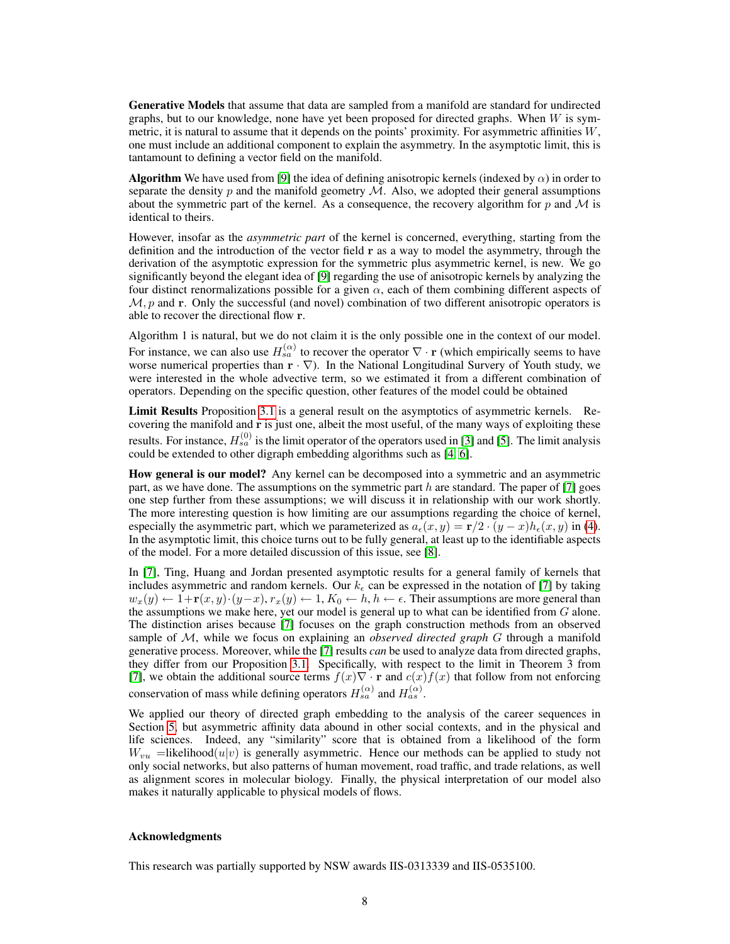Generative Models that assume that data are sampled from a manifold are standard for undirected graphs, but to our knowledge, none have yet been proposed for directed graphs. When  $W$  is symmetric, it is natural to assume that it depends on the points' proximity. For asymmetric affinities W, one must include an additional component to explain the asymmetry. In the asymptotic limit, this is tantamount to defining a vector field on the manifold.

**Algorithm** We have used from [\[9\]](#page-8-8) the idea of defining anisotropic kernels (indexed by  $\alpha$ ) in order to separate the density  $p$  and the manifold geometry  $M$ . Also, we adopted their general assumptions about the symmetric part of the kernel. As a consequence, the recovery algorithm for p and  $\mathcal M$  is identical to theirs.

However, insofar as the *asymmetric part* of the kernel is concerned, everything, starting from the definition and the introduction of the vector field  $r$  as a way to model the asymmetry, through the derivation of the asymptotic expression for the symmetric plus asymmetric kernel, is new. We go significantly beyond the elegant idea of [\[9\]](#page-8-8) regarding the use of anisotropic kernels by analyzing the four distinct renormalizations possible for a given  $\alpha$ , each of them combining different aspects of  $\mathcal{M}, p$  and r. Only the successful (and novel) combination of two different anisotropic operators is able to recover the directional flow r.

Algorithm 1 is natural, but we do not claim it is the only possible one in the context of our model. For instance, we can also use  $H_{sa}^{(\alpha)}$  to recover the operator  $\nabla \cdot \mathbf{r}$  (which empirically seems to have worse numerical properties than  $\mathbf{r} \cdot \nabla$ ). In the National Longitudinal Survery of Youth study, we were interested in the whole advective term, so we estimated it from a different combination of operators. Depending on the specific question, other features of the model could be obtained

Limit Results Proposition [3.1](#page-2-3) is a general result on the asymptotics of asymmetric kernels. Recovering the manifold and r is just one, albeit the most useful, of the many ways of exploiting these results. For instance,  $H_{sa}^{(0)}$  is the limit operator of the operators used in [\[3\]](#page-8-2) and [\[5\]](#page-8-4). The limit analysis could be extended to other digraph embedding algorithms such as [\[4,](#page-8-3) [6\]](#page-8-5).

How general is our model? Any kernel can be decomposed into a symmetric and an asymmetric part, as we have done. The assumptions on the symmetric part h are standard. The paper of [\[7\]](#page-8-6) goes one step further from these assumptions; we will discuss it in relationship with our work shortly. The more interesting question is how limiting are our assumptions regarding the choice of kernel, especially the asymmetric part, which we parameterized as  $a_{\epsilon}(x, y) = \mathbf{r}/2 \cdot (y - x) h_{\epsilon}(x, y)$  in [\(4\)](#page-2-4). In the asymptotic limit, this choice turns out to be fully general, at least up to the identifiable aspects of the model. For a more detailed discussion of this issue, see [\[8\]](#page-8-7).

In [\[7\]](#page-8-6), Ting, Huang and Jordan presented asymptotic results for a general family of kernels that includes asymmetric and random kernels. Our  $k_{\epsilon}$  can be expressed in the notation of [\[7\]](#page-8-6) by taking  $w_x(y) \leftarrow 1+\mathbf{r}(x, y) \cdot (y-x), r_x(y) \leftarrow 1, K_0 \leftarrow h, h \leftarrow \epsilon$ . Their assumptions are more general than the assumptions we make here, yet our model is general up to what can be identified from  $G$  alone. The distinction arises because [\[7\]](#page-8-6) focuses on the graph construction methods from an observed sample of M, while we focus on explaining an *observed directed graph* G through a manifold generative process. Moreover, while the [\[7\]](#page-8-6) results *can* be used to analyze data from directed graphs, they differ from our Proposition [3.1.](#page-2-3) Specifically, with respect to the limit in Theorem 3 from [\[7\]](#page-8-6), we obtain the additional source terms  $f(x)\nabla \cdot \mathbf{r}$  and  $c(x)f(x)$  that follow from not enforcing conservation of mass while defining operators  $H_{sa}^{(\alpha)}$  and  $H_{as}^{(\alpha)}$ .

We applied our theory of directed graph embedding to the analysis of the career sequences in Section [5,](#page-5-1) but asymmetric affinity data abound in other social contexts, and in the physical and life sciences. Indeed, any "similarity" score that is obtained from a likelihood of the form  $W_{vu}$  =likelihood( $u|v$ ) is generally asymmetric. Hence our methods can be applied to study not only social networks, but also patterns of human movement, road traffic, and trade relations, as well as alignment scores in molecular biology. Finally, the physical interpretation of our model also makes it naturally applicable to physical models of flows.

#### Acknowledgments

This research was partially supported by NSW awards IIS-0313339 and IIS-0535100.